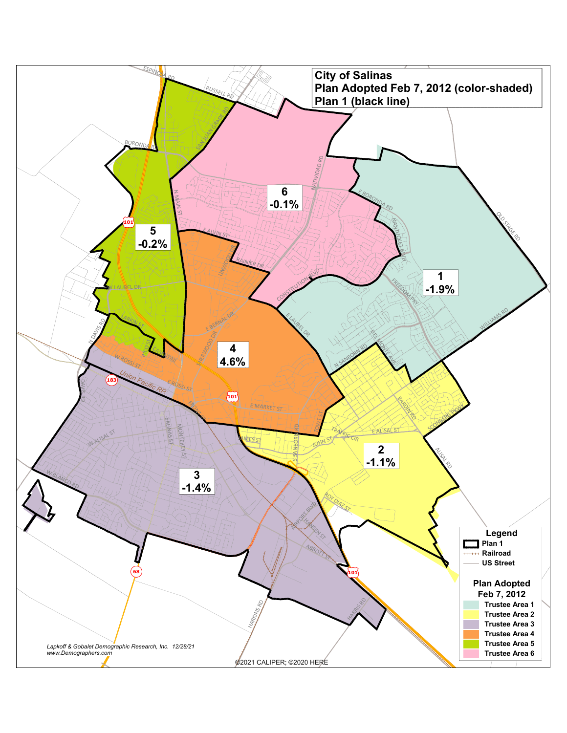